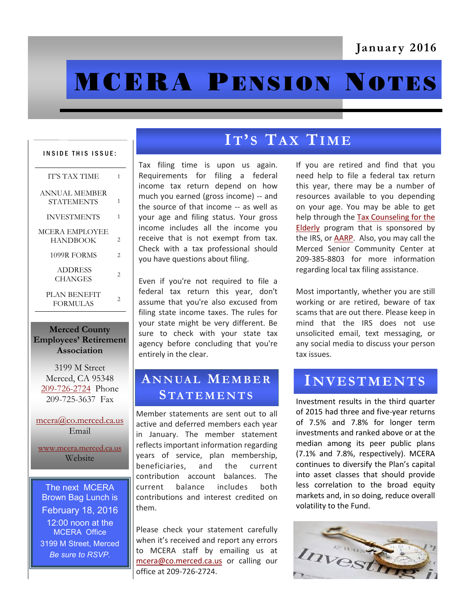# **MCERA PENSION NOTES**

#### INSIDE THIS ISSUE:

| <b>IT'S TAX TIME</b>            | 1              |
|---------------------------------|----------------|
| ANNUAL MEMBER<br>STATEMENTS     | 1              |
| <b>INVESTMENTS</b>              | 1              |
| MCERA EMPLOYEE<br>HANDBOOK      | 2              |
| 1099R FORMS                     | 2              |
| <b>ADDRESS</b><br>CHANGES       | $\mathfrak{D}$ |
| PLAN BENEFIT<br><b>FORMULAS</b> | 2              |

#### **Merced County Employees' Retirement Association**

3199 M Street Merced, CA 95348 [209-726-2724](tel:+12097262724) Phone 209-725-3637 Fax

[mcera@co.merced.ca.us](mailto:mcera@co.merced.ca.us) Email

[www.mcera.merced.ca.us](http://www.mcera.merced.ca.us)  Website

The next MCERA Brown Bag Lunch is February 18, 2016 12:00 noon at the MCERA Office 3199 M Street, Merced *Be sure to RSVP.*

# **IT' S TA X TIME**

Tax filing time is upon us again. Requirements for filing a federal income tax return depend on how much you earned (gross income) -- and the source of that income -- as well as your age and filing status. Your gross income includes all the income you receive that is not exempt from tax. Check with a tax professional should you have questions about filing.

Even if you're not required to file a federal tax return this year, don't assume that you're also excused from filing state income taxes. The rules for your state might be very different. Be sure to check with your state tax agency before concluding that you're entirely in the clear.

### **A N N UA L ME M B E R STA T E M E N T S**

Member statements are sent out to all active and deferred members each year in January. The member statement reflects important information regarding years of service, plan membership, beneficiaries, and the current contribution account balances. The current balance includes both contributions and interest credited on them.

Please check your statement carefully when it's received and report any errors to MCERA staff by emailing us at [mcera@co.merced.ca.us](mailto:mcera@co.merced.ca.us) or calling our office at 209-726-2724.

If you are retired and find that you need help to file a federal tax return this year, there may be a number of resources available to you depending on your age. You may be able to get help through the [Tax Counseling for the](http://irs.treasury.gov/freetaxprep/)  [Elderly](http://irs.treasury.gov/freetaxprep/) program that is sponsored by the IRS, or [AARP.](http://www.aarp.org/applications/VMISLocator/searchTaxAideLocations.action?cmp=RDRCT-FNDTX_DEC23_010) Also, you may call the Merced Senior Community Center at 209-385-8803 for more information regarding local tax filing assistance.

Most importantly, whether you are still working or are retired, beware of tax scams that are out there. Please keep in mind that the IRS does not use unsolicited email, text messaging, or any social media to discuss your person tax issues.

## **IN V E S T M E N T S**

Investment results in the third quarter of 2015 had three and five-year returns of 7.5% and 7.8% for longer term investments and ranked above or at the median among its peer public plans (7.1% and 7.8%, respectively). MCERA continues to diversify the Plan's capital into asset classes that should provide less correlation to the broad equity markets and, in so doing, reduce overall volatility to the Fund.